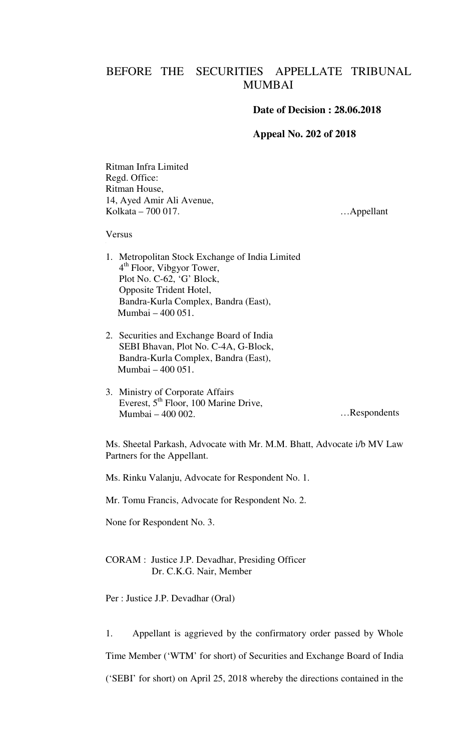## BEFORE THE SECURITIES APPELLATE TRIBUNAL MUMBAI

## **Date of Decision : 28.06.2018**

## **Appeal No. 202 of 2018**

Ritman Infra Limited Regd. Office: Ritman House, 14, Ayed Amir Ali Avenue, Kolkata – 700 017.

…Appellant

Versus

- 1. Metropolitan Stock Exchange of India Limited 4<sup>th</sup> Floor, Vibgyor Tower, Plot No. C-62, 'G' Block, Opposite Trident Hotel, Bandra-Kurla Complex, Bandra (East), Mumbai – 400 051.
- 2. Securities and Exchange Board of India SEBI Bhavan, Plot No. C-4A, G-Block, Bandra-Kurla Complex, Bandra (East), Mumbai – 400 051.
- 3. Ministry of Corporate Affairs Everest, 5<sup>th</sup> Floor, 100 Marine Drive, Mumbai – 400 002. …Respondents

Ms. Sheetal Parkash, Advocate with Mr. M.M. Bhatt, Advocate i/b MV Law Partners for the Appellant.

Ms. Rinku Valanju, Advocate for Respondent No. 1.

Mr. Tomu Francis, Advocate for Respondent No. 2.

None for Respondent No. 3.

CORAM : Justice J.P. Devadhar, Presiding Officer Dr. C.K.G. Nair, Member

Per : Justice J.P. Devadhar (Oral)

1. Appellant is aggrieved by the confirmatory order passed by Whole Time Member ('WTM' for short) of Securities and Exchange Board of India ('SEBI' for short) on April 25, 2018 whereby the directions contained in the